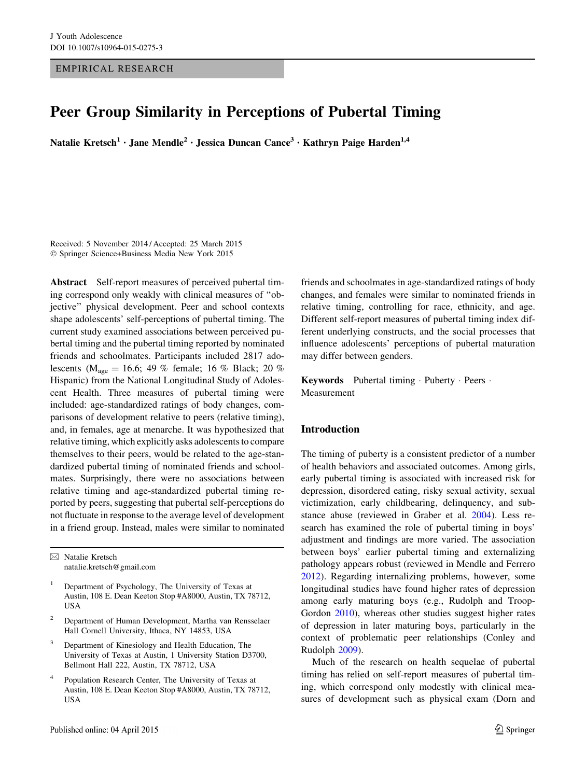EMPIRICAL RESEARCH

# Peer Group Similarity in Perceptions of Pubertal Timing

Natalie Kretsch<sup>1</sup> · Jane Mendle<sup>2</sup> · Jessica Duncan Cance<sup>3</sup> · Kathryn Paige Harden<sup>1,4</sup>

Received: 5 November 2014 / Accepted: 25 March 2015 ! Springer Science+Business Media New York 2015

Abstract Self-report measures of perceived pubertal timing correspond only weakly with clinical measures of ''objective'' physical development. Peer and school contexts shape adolescents' self-perceptions of pubertal timing. The current study examined associations between perceived pubertal timing and the pubertal timing reported by nominated friends and schoolmates. Participants included 2817 adolescents ( $M_{\text{age}} = 16.6$ ; 49 % female; 16 % Black; 20 % Hispanic) from the National Longitudinal Study of Adolescent Health. Three measures of pubertal timing were included: age-standardized ratings of body changes, comparisons of development relative to peers (relative timing), and, in females, age at menarche. It was hypothesized that relative timing, which explicitly asks adolescents to compare themselves to their peers, would be related to the age-standardized pubertal timing of nominated friends and schoolmates. Surprisingly, there were no associations between relative timing and age-standardized pubertal timing reported by peers, suggesting that pubertal self-perceptions do not fluctuate in response to the average level of development in a friend group. Instead, males were similar to nominated

& Natalie Kretsch natalie.kretsch@gmail.com

- <sup>1</sup> Department of Psychology, The University of Texas at Austin, 108 E. Dean Keeton Stop #A8000, Austin, TX 78712, USA
- <sup>2</sup> Department of Human Development, Martha van Rensselaer Hall Cornell University, Ithaca, NY 14853, USA
- <sup>3</sup> Department of Kinesiology and Health Education, The University of Texas at Austin, 1 University Station D3700, Bellmont Hall 222, Austin, TX 78712, USA
- <sup>4</sup> Population Research Center, The University of Texas at Austin, 108 E. Dean Keeton Stop #A8000, Austin, TX 78712, USA

friends and schoolmates in age-standardized ratings of body changes, and females were similar to nominated friends in relative timing, controlling for race, ethnicity, and age. Different self-report measures of pubertal timing index different underlying constructs, and the social processes that influence adolescents' perceptions of pubertal maturation may differ between genders.

Keywords Pubertal timing · Puberty · Peers · Measurement

#### Introduction

The timing of puberty is a consistent predictor of a number of health behaviors and associated outcomes. Among girls, early pubertal timing is associated with increased risk for depression, disordered eating, risky sexual activity, sexual victimization, early childbearing, delinquency, and substance abuse (reviewed in Graber et al. [2004\)](#page-13-0). Less research has examined the role of pubertal timing in boys' adjustment and findings are more varied. The association between boys' earlier pubertal timing and externalizing pathology appears robust (reviewed in Mendle and Ferrero [2012](#page-13-0)). Regarding internalizing problems, however, some longitudinal studies have found higher rates of depression among early maturing boys (e.g., Rudolph and Troop-Gordon [2010](#page-13-0)), whereas other studies suggest higher rates of depression in later maturing boys, particularly in the context of problematic peer relationships (Conley and Rudolph [2009\)](#page-13-0).

Much of the research on health sequelae of pubertal timing has relied on self-report measures of pubertal timing, which correspond only modestly with clinical measures of development such as physical exam (Dorn and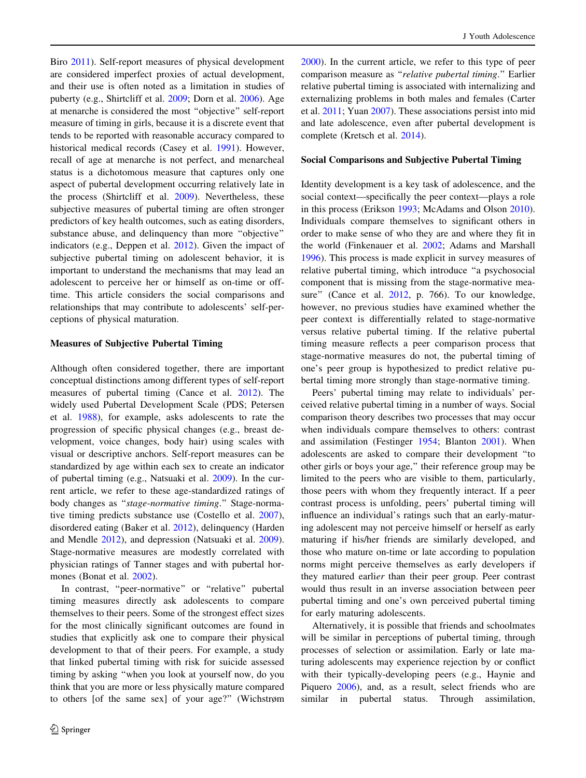Biro [2011](#page-13-0)). Self-report measures of physical development are considered imperfect proxies of actual development, and their use is often noted as a limitation in studies of puberty (e.g., Shirtcliff et al. [2009;](#page-13-0) Dorn et al. [2006\)](#page-13-0). Age at menarche is considered the most ''objective'' self-report measure of timing in girls, because it is a discrete event that tends to be reported with reasonable accuracy compared to historical medical records (Casey et al. [1991\)](#page-12-0). However, recall of age at menarche is not perfect, and menarcheal status is a dichotomous measure that captures only one aspect of pubertal development occurring relatively late in the process (Shirtcliff et al. [2009](#page-13-0)). Nevertheless, these subjective measures of pubertal timing are often stronger predictors of key health outcomes, such as eating disorders, substance abuse, and delinquency than more ''objective'' indicators (e.g., Deppen et al. [2012\)](#page-13-0). Given the impact of subjective pubertal timing on adolescent behavior, it is important to understand the mechanisms that may lead an adolescent to perceive her or himself as on-time or offtime. This article considers the social comparisons and relationships that may contribute to adolescents' self-perceptions of physical maturation.

#### Measures of Subjective Pubertal Timing

Although often considered together, there are important conceptual distinctions among different types of self-report measures of pubertal timing (Cance et al. [2012\)](#page-12-0). The widely used Pubertal Development Scale (PDS; Petersen et al. [1988\)](#page-13-0), for example, asks adolescents to rate the progression of specific physical changes (e.g., breast development, voice changes, body hair) using scales with visual or descriptive anchors. Self-report measures can be standardized by age within each sex to create an indicator of pubertal timing (e.g., Natsuaki et al. [2009](#page-13-0)). In the current article, we refer to these age-standardized ratings of body changes as ''stage-normative timing.'' Stage-normative timing predicts substance use (Costello et al. [2007](#page-13-0)), disordered eating (Baker et al. [2012\)](#page-12-0), delinquency (Harden and Mendle [2012](#page-13-0)), and depression (Natsuaki et al. [2009](#page-13-0)). Stage-normative measures are modestly correlated with physician ratings of Tanner stages and with pubertal hormones (Bonat et al. [2002\)](#page-12-0).

In contrast, ''peer-normative'' or ''relative'' pubertal timing measures directly ask adolescents to compare themselves to their peers. Some of the strongest effect sizes for the most clinically significant outcomes are found in studies that explicitly ask one to compare their physical development to that of their peers. For example, a study that linked pubertal timing with risk for suicide assessed timing by asking ''when you look at yourself now, do you think that you are more or less physically mature compared to others [of the same sex] of your age?'' (Wichstrøm

[2000](#page-14-0)). In the current article, we refer to this type of peer comparison measure as ''relative pubertal timing.'' Earlier relative pubertal timing is associated with internalizing and externalizing problems in both males and females (Carter et al. [2011;](#page-12-0) Yuan [2007](#page-14-0)). These associations persist into mid and late adolescence, even after pubertal development is complete (Kretsch et al. [2014\)](#page-13-0).

#### Social Comparisons and Subjective Pubertal Timing

Identity development is a key task of adolescence, and the social context—specifically the peer context—plays a role in this process (Erikson [1993](#page-13-0); McAdams and Olson [2010](#page-13-0)). Individuals compare themselves to significant others in order to make sense of who they are and where they fit in the world (Finkenauer et al. [2002;](#page-13-0) Adams and Marshall [1996](#page-12-0)). This process is made explicit in survey measures of relative pubertal timing, which introduce ''a psychosocial component that is missing from the stage-normative mea-sure" (Cance et al. [2012](#page-12-0), p. 766). To our knowledge, however, no previous studies have examined whether the peer context is differentially related to stage-normative versus relative pubertal timing. If the relative pubertal timing measure reflects a peer comparison process that stage-normative measures do not, the pubertal timing of one's peer group is hypothesized to predict relative pubertal timing more strongly than stage-normative timing.

Peers' pubertal timing may relate to individuals' perceived relative pubertal timing in a number of ways. Social comparison theory describes two processes that may occur when individuals compare themselves to others: contrast and assimilation (Festinger [1954;](#page-13-0) Blanton [2001](#page-12-0)). When adolescents are asked to compare their development ''to other girls or boys your age,'' their reference group may be limited to the peers who are visible to them, particularly, those peers with whom they frequently interact. If a peer contrast process is unfolding, peers' pubertal timing will influence an individual's ratings such that an early-maturing adolescent may not perceive himself or herself as early maturing if his/her friends are similarly developed, and those who mature on-time or late according to population norms might perceive themselves as early developers if they matured earlier than their peer group. Peer contrast would thus result in an inverse association between peer pubertal timing and one's own perceived pubertal timing for early maturing adolescents.

Alternatively, it is possible that friends and schoolmates will be similar in perceptions of pubertal timing, through processes of selection or assimilation. Early or late maturing adolescents may experience rejection by or conflict with their typically-developing peers (e.g., Haynie and Piquero [2006](#page-13-0)), and, as a result, select friends who are similar in pubertal status. Through assimilation,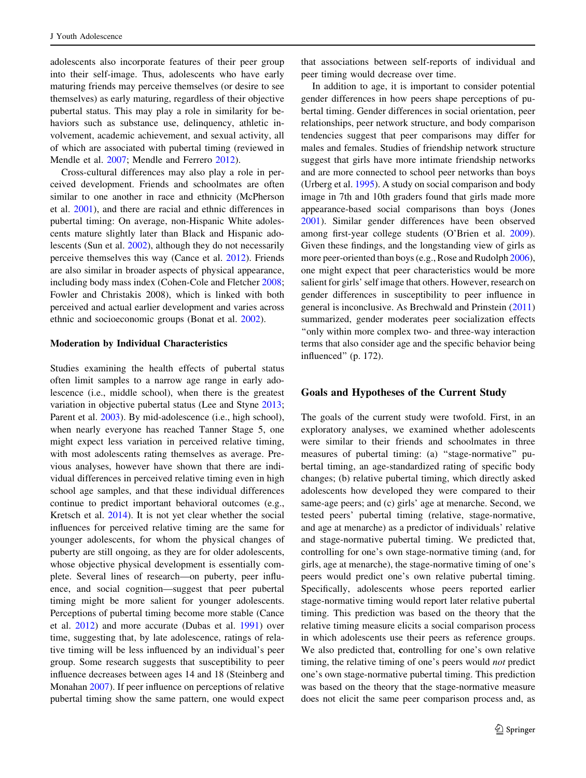adolescents also incorporate features of their peer group into their self-image. Thus, adolescents who have early maturing friends may perceive themselves (or desire to see themselves) as early maturing, regardless of their objective pubertal status. This may play a role in similarity for behaviors such as substance use, delinquency, athletic involvement, academic achievement, and sexual activity, all of which are associated with pubertal timing (reviewed in Mendle et al. [2007;](#page-13-0) Mendle and Ferrero [2012](#page-13-0)).

Cross-cultural differences may also play a role in perceived development. Friends and schoolmates are often similar to one another in race and ethnicity (McPherson et al. [2001](#page-13-0)), and there are racial and ethnic differences in pubertal timing: On average, non-Hispanic White adolescents mature slightly later than Black and Hispanic adolescents (Sun et al. [2002\)](#page-13-0), although they do not necessarily perceive themselves this way (Cance et al. [2012\)](#page-12-0). Friends are also similar in broader aspects of physical appearance, including body mass index (Cohen-Cole and Fletcher [2008](#page-13-0); Fowler and Christakis 2008), which is linked with both perceived and actual earlier development and varies across ethnic and socioeconomic groups (Bonat et al. [2002\)](#page-12-0).

#### Moderation by Individual Characteristics

Studies examining the health effects of pubertal status often limit samples to a narrow age range in early adolescence (i.e., middle school), when there is the greatest variation in objective pubertal status (Lee and Styne [2013](#page-13-0); Parent et al. [2003](#page-13-0)). By mid-adolescence (i.e., high school), when nearly everyone has reached Tanner Stage 5, one might expect less variation in perceived relative timing, with most adolescents rating themselves as average. Previous analyses, however have shown that there are individual differences in perceived relative timing even in high school age samples, and that these individual differences continue to predict important behavioral outcomes (e.g., Kretsch et al. [2014\)](#page-13-0). It is not yet clear whether the social influences for perceived relative timing are the same for younger adolescents, for whom the physical changes of puberty are still ongoing, as they are for older adolescents, whose objective physical development is essentially complete. Several lines of research—on puberty, peer influence, and social cognition—suggest that peer pubertal timing might be more salient for younger adolescents. Perceptions of pubertal timing become more stable (Cance et al. [2012](#page-12-0)) and more accurate (Dubas et al. [1991\)](#page-13-0) over time, suggesting that, by late adolescence, ratings of relative timing will be less influenced by an individual's peer group. Some research suggests that susceptibility to peer influence decreases between ages 14 and 18 (Steinberg and Monahan [2007](#page-13-0)). If peer influence on perceptions of relative pubertal timing show the same pattern, one would expect

that associations between self-reports of individual and peer timing would decrease over time.

In addition to age, it is important to consider potential gender differences in how peers shape perceptions of pubertal timing. Gender differences in social orientation, peer relationships, peer network structure, and body comparison tendencies suggest that peer comparisons may differ for males and females. Studies of friendship network structure suggest that girls have more intimate friendship networks and are more connected to school peer networks than boys (Urberg et al. [1995\)](#page-13-0). A study on social comparison and body image in 7th and 10th graders found that girls made more appearance-based social comparisons than boys (Jones [2001](#page-13-0)). Similar gender differences have been observed among first-year college students (O'Brien et al. [2009](#page-13-0)). Given these findings, and the longstanding view of girls as more peer-oriented than boys (e.g., Rose and Rudolph [2006](#page-13-0)), one might expect that peer characteristics would be more salient for girls' self image that others. However, research on gender differences in susceptibility to peer influence in general is inconclusive. As Brechwald and Prinstein ([2011\)](#page-12-0) summarized, gender moderates peer socialization effects ''only within more complex two- and three-way interaction terms that also consider age and the specific behavior being influenced'' (p. 172).

## Goals and Hypotheses of the Current Study

The goals of the current study were twofold. First, in an exploratory analyses, we examined whether adolescents were similar to their friends and schoolmates in three measures of pubertal timing: (a) "stage-normative" pubertal timing, an age-standardized rating of specific body changes; (b) relative pubertal timing, which directly asked adolescents how developed they were compared to their same-age peers; and (c) girls' age at menarche. Second, we tested peers' pubertal timing (relative, stage-normative, and age at menarche) as a predictor of individuals' relative and stage-normative pubertal timing. We predicted that, controlling for one's own stage-normative timing (and, for girls, age at menarche), the stage-normative timing of one's peers would predict one's own relative pubertal timing. Specifically, adolescents whose peers reported earlier stage-normative timing would report later relative pubertal timing. This prediction was based on the theory that the relative timing measure elicits a social comparison process in which adolescents use their peers as reference groups. We also predicted that, controlling for one's own relative timing, the relative timing of one's peers would not predict one's own stage-normative pubertal timing. This prediction was based on the theory that the stage-normative measure does not elicit the same peer comparison process and, as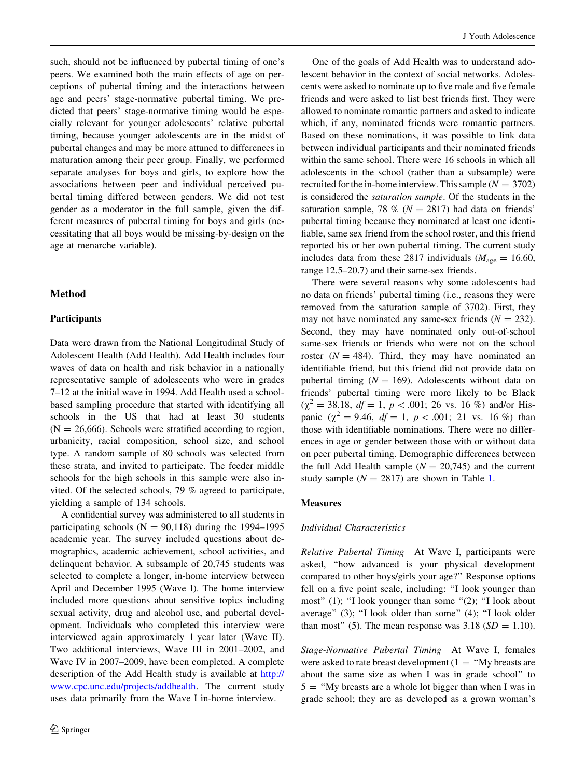such, should not be influenced by pubertal timing of one's peers. We examined both the main effects of age on perceptions of pubertal timing and the interactions between age and peers' stage-normative pubertal timing. We predicted that peers' stage-normative timing would be especially relevant for younger adolescents' relative pubertal timing, because younger adolescents are in the midst of pubertal changes and may be more attuned to differences in maturation among their peer group. Finally, we performed separate analyses for boys and girls, to explore how the associations between peer and individual perceived pubertal timing differed between genders. We did not test gender as a moderator in the full sample, given the different measures of pubertal timing for boys and girls (necessitating that all boys would be missing-by-design on the age at menarche variable).

## Method

#### **Participants**

Data were drawn from the National Longitudinal Study of Adolescent Health (Add Health). Add Health includes four waves of data on health and risk behavior in a nationally representative sample of adolescents who were in grades 7–12 at the initial wave in 1994. Add Health used a schoolbased sampling procedure that started with identifying all schools in the US that had at least 30 students  $(N = 26,666)$ . Schools were stratified according to region, urbanicity, racial composition, school size, and school type. A random sample of 80 schools was selected from these strata, and invited to participate. The feeder middle schools for the high schools in this sample were also invited. Of the selected schools, 79 % agreed to participate, yielding a sample of 134 schools.

A confidential survey was administered to all students in participating schools ( $N = 90,118$ ) during the 1994–1995 academic year. The survey included questions about demographics, academic achievement, school activities, and delinquent behavior. A subsample of 20,745 students was selected to complete a longer, in-home interview between April and December 1995 (Wave I). The home interview included more questions about sensitive topics including sexual activity, drug and alcohol use, and pubertal development. Individuals who completed this interview were interviewed again approximately 1 year later (Wave II). Two additional interviews, Wave III in 2001–2002, and Wave IV in 2007–2009, have been completed. A complete description of the Add Health study is available at [http://](http://www.cpc.unc.edu/projects/addhealth) [www.cpc.unc.edu/projects/addhealth](http://www.cpc.unc.edu/projects/addhealth). The current study uses data primarily from the Wave I in-home interview.

One of the goals of Add Health was to understand adolescent behavior in the context of social networks. Adolescents were asked to nominate up to five male and five female friends and were asked to list best friends first. They were allowed to nominate romantic partners and asked to indicate which, if any, nominated friends were romantic partners. Based on these nominations, it was possible to link data between individual participants and their nominated friends within the same school. There were 16 schools in which all adolescents in the school (rather than a subsample) were recruited for the in-home interview. This sample ( $N = 3702$ ) is considered the saturation sample. Of the students in the saturation sample, 78 % ( $N = 2817$ ) had data on friends' pubertal timing because they nominated at least one identifiable, same sex friend from the school roster, and this friend reported his or her own pubertal timing. The current study includes data from these 2817 individuals ( $M_{\text{age}} = 16.60$ , range 12.5–20.7) and their same-sex friends.

There were several reasons why some adolescents had no data on friends' pubertal timing (i.e., reasons they were removed from the saturation sample of 3702). First, they may not have nominated any same-sex friends  $(N = 232)$ . Second, they may have nominated only out-of-school same-sex friends or friends who were not on the school roster ( $N = 484$ ). Third, they may have nominated an identifiable friend, but this friend did not provide data on pubertal timing  $(N = 169)$ . Adolescents without data on friends' pubertal timing were more likely to be Black  $(\chi^2 = 38.18, df = 1, p < .001; 26 \text{ vs. } 16 \%)$  and/or Hispanic ( $\chi^2 = 9.46$ ,  $df = 1$ ,  $p < .001$ ; 21 vs. 16 %) than those with identifiable nominations. There were no differences in age or gender between those with or without data on peer pubertal timing. Demographic differences between the full Add Health sample  $(N = 20,745)$  and the current study sample ( $N = 2817$ ) are shown in Table [1.](#page-4-0)

#### Measures

#### Individual Characteristics

Relative Pubertal Timing At Wave I, participants were asked, ''how advanced is your physical development compared to other boys/girls your age?'' Response options fell on a five point scale, including: ''I look younger than most" (1); "I look younger than some "(2); "I look about average'' (3); ''I look older than some'' (4); ''I look older than most" (5). The mean response was  $3.18$  ( $SD = 1.10$ ).

Stage-Normative Pubertal Timing At Wave I, females were asked to rate breast development  $(1 - "My breaks are$ about the same size as when I was in grade school'' to  $5 =$  "My breasts are a whole lot bigger than when I was in grade school; they are as developed as a grown woman's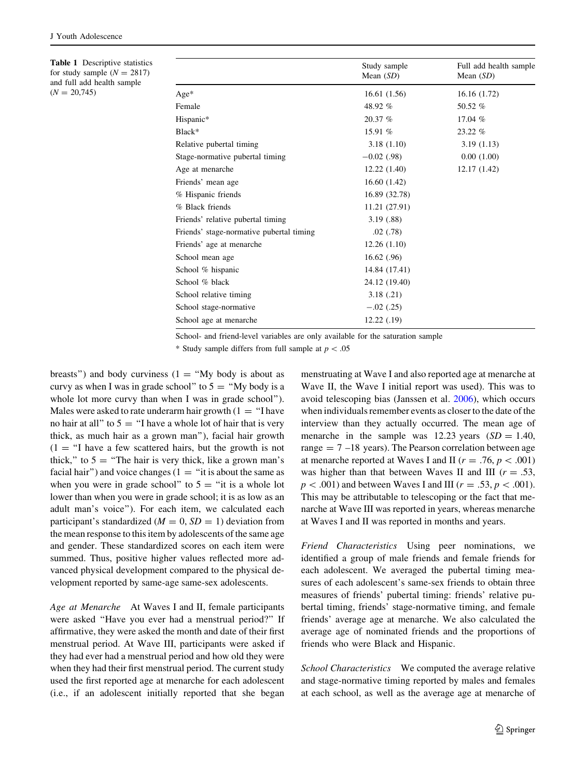<span id="page-4-0"></span>Table 1 Descriptive statistics for study sample  $(N = 2817)$ and full add health sample  $(N = 20,745)$ 

|                                          | Study sample<br>Mean $(SD)$ | Full add health sample<br>Mean $(SD)$ |
|------------------------------------------|-----------------------------|---------------------------------------|
| $Age*$                                   | 16.61(1.56)                 | 16.16(1.72)                           |
| Female                                   | 48.92 %                     | 50.52 %                               |
| Hispanic*                                | 20.37%                      | 17.04 %                               |
| Black*                                   | 15.91 %                     | 23.22 %                               |
| Relative pubertal timing                 | 3.18(1.10)                  | 3.19(1.13)                            |
| Stage-normative pubertal timing          | $-0.02$ (.98)               | 0.00(1.00)                            |
| Age at menarche                          | 12.22(1.40)                 | 12.17 (1.42)                          |
| Friends' mean age                        | 16.60(1.42)                 |                                       |
| % Hispanic friends                       | 16.89 (32.78)               |                                       |
| % Black friends                          | 11.21 (27.91)               |                                       |
| Friends' relative pubertal timing        | 3.19(0.88)                  |                                       |
| Friends' stage-normative pubertal timing | .02(78)                     |                                       |
| Friends' age at menarche                 | 12.26(1.10)                 |                                       |
| School mean age                          | 16.62(.96)                  |                                       |
| School % hispanic                        | 14.84 (17.41)               |                                       |
| School % black                           | 24.12 (19.40)               |                                       |
| School relative timing                   | 3.18(.21)                   |                                       |
| School stage-normative                   | $-.02(.25)$                 |                                       |
| School age at menarche                   | 12.22(0.19)                 |                                       |

School- and friend-level variables are only available for the saturation sample

\* Study sample differs from full sample at  $p < .05$ 

breasts") and body curviness  $(1 = "My body is about as$ curvy as when I was in grade school" to  $5 =$  "My body is a whole lot more curvy than when I was in grade school"). Males were asked to rate underarm hair growth  $(1 - "I)$  have no hair at all" to  $5 = "I$  have a whole lot of hair that is very thick, as much hair as a grown man''), facial hair growth  $(1 = "I)$  have a few scattered hairs, but the growth is not thick," to  $5 =$  "The hair is very thick, like a grown man's facial hair") and voice changes ( $1 =$ "it is about the same as when you were in grade school" to  $5 =$  "it is a whole lot lower than when you were in grade school; it is as low as an adult man's voice''). For each item, we calculated each participant's standardized ( $M = 0$ ,  $SD = 1$ ) deviation from the mean response to this item by adolescents of the same age and gender. These standardized scores on each item were summed. Thus, positive higher values reflected more advanced physical development compared to the physical development reported by same-age same-sex adolescents.

Age at Menarche At Waves I and II, female participants were asked ''Have you ever had a menstrual period?'' If affirmative, they were asked the month and date of their first menstrual period. At Wave III, participants were asked if they had ever had a menstrual period and how old they were when they had their first menstrual period. The current study used the first reported age at menarche for each adolescent (i.e., if an adolescent initially reported that she began menstruating at Wave I and also reported age at menarche at Wave II, the Wave I initial report was used). This was to avoid telescoping bias (Janssen et al. [2006](#page-13-0)), which occurs when individuals remember events as closer to the date of the interview than they actually occurred. The mean age of menarche in the sample was 12.23 years  $(SD = 1.40,$ range  $= 7 - 18$  years). The Pearson correlation between age at menarche reported at Waves I and II ( $r = .76$ ,  $p < .001$ ) was higher than that between Waves II and III ( $r = .53$ ,  $p\lt .001$  and between Waves I and III ( $r = .53, p\lt .001$ ). This may be attributable to telescoping or the fact that menarche at Wave III was reported in years, whereas menarche at Waves I and II was reported in months and years.

Friend Characteristics Using peer nominations, we identified a group of male friends and female friends for each adolescent. We averaged the pubertal timing measures of each adolescent's same-sex friends to obtain three measures of friends' pubertal timing: friends' relative pubertal timing, friends' stage-normative timing, and female friends' average age at menarche. We also calculated the average age of nominated friends and the proportions of friends who were Black and Hispanic.

School Characteristics We computed the average relative and stage-normative timing reported by males and females at each school, as well as the average age at menarche of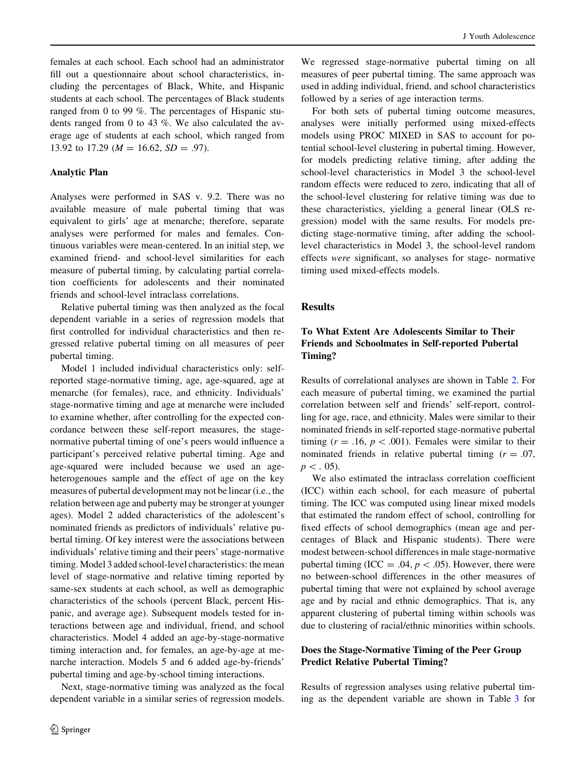females at each school. Each school had an administrator fill out a questionnaire about school characteristics, including the percentages of Black, White, and Hispanic students at each school. The percentages of Black students ranged from 0 to 99 %. The percentages of Hispanic students ranged from 0 to 43 %. We also calculated the average age of students at each school, which ranged from 13.92 to 17.29 ( $M = 16.62$ ,  $SD = .97$ ).

#### Analytic Plan

Analyses were performed in SAS v. 9.2. There was no available measure of male pubertal timing that was equivalent to girls' age at menarche; therefore, separate analyses were performed for males and females. Continuous variables were mean-centered. In an initial step, we examined friend- and school-level similarities for each measure of pubertal timing, by calculating partial correlation coefficients for adolescents and their nominated friends and school-level intraclass correlations.

Relative pubertal timing was then analyzed as the focal dependent variable in a series of regression models that first controlled for individual characteristics and then regressed relative pubertal timing on all measures of peer pubertal timing.

Model 1 included individual characteristics only: selfreported stage-normative timing, age, age-squared, age at menarche (for females), race, and ethnicity. Individuals' stage-normative timing and age at menarche were included to examine whether, after controlling for the expected concordance between these self-report measures, the stagenormative pubertal timing of one's peers would influence a participant's perceived relative pubertal timing. Age and age-squared were included because we used an ageheterogenoues sample and the effect of age on the key measures of pubertal development may not be linear (i.e., the relation between age and puberty may be stronger at younger ages). Model 2 added characteristics of the adolescent's nominated friends as predictors of individuals' relative pubertal timing. Of key interest were the associations between individuals' relative timing and their peers' stage-normative timing. Model 3 added school-level characteristics: the mean level of stage-normative and relative timing reported by same-sex students at each school, as well as demographic characteristics of the schools (percent Black, percent Hispanic, and average age). Subsequent models tested for interactions between age and individual, friend, and school characteristics. Model 4 added an age-by-stage-normative timing interaction and, for females, an age-by-age at menarche interaction. Models 5 and 6 added age-by-friends' pubertal timing and age-by-school timing interactions.

Next, stage-normative timing was analyzed as the focal dependent variable in a similar series of regression models.

We regressed stage-normative pubertal timing on all measures of peer pubertal timing. The same approach was used in adding individual, friend, and school characteristics followed by a series of age interaction terms.

For both sets of pubertal timing outcome measures, analyses were initially performed using mixed-effects models using PROC MIXED in SAS to account for potential school-level clustering in pubertal timing. However, for models predicting relative timing, after adding the school-level characteristics in Model 3 the school-level random effects were reduced to zero, indicating that all of the school-level clustering for relative timing was due to these characteristics, yielding a general linear (OLS regression) model with the same results. For models predicting stage-normative timing, after adding the schoollevel characteristics in Model 3, the school-level random effects were significant, so analyses for stage- normative timing used mixed-effects models.

## Results

# To What Extent Are Adolescents Similar to Their Friends and Schoolmates in Self-reported Pubertal Timing?

Results of correlational analyses are shown in Table [2](#page-6-0). For each measure of pubertal timing, we examined the partial correlation between self and friends' self-report, controlling for age, race, and ethnicity. Males were similar to their nominated friends in self-reported stage-normative pubertal timing ( $r = .16$ ,  $p < .001$ ). Females were similar to their nominated friends in relative pubertal timing  $(r = .07)$ ,  $p < .05$ ).

We also estimated the intraclass correlation coefficient (ICC) within each school, for each measure of pubertal timing. The ICC was computed using linear mixed models that estimated the random effect of school, controlling for fixed effects of school demographics (mean age and percentages of Black and Hispanic students). There were modest between-school differences in male stage-normative pubertal timing (ICC = .04,  $p$  < .05). However, there were no between-school differences in the other measures of pubertal timing that were not explained by school average age and by racial and ethnic demographics. That is, any apparent clustering of pubertal timing within schools was due to clustering of racial/ethnic minorities within schools.

## Does the Stage-Normative Timing of the Peer Group Predict Relative Pubertal Timing?

Results of regression analyses using relative pubertal timing as the dependent variable are shown in Table [3](#page-6-0) for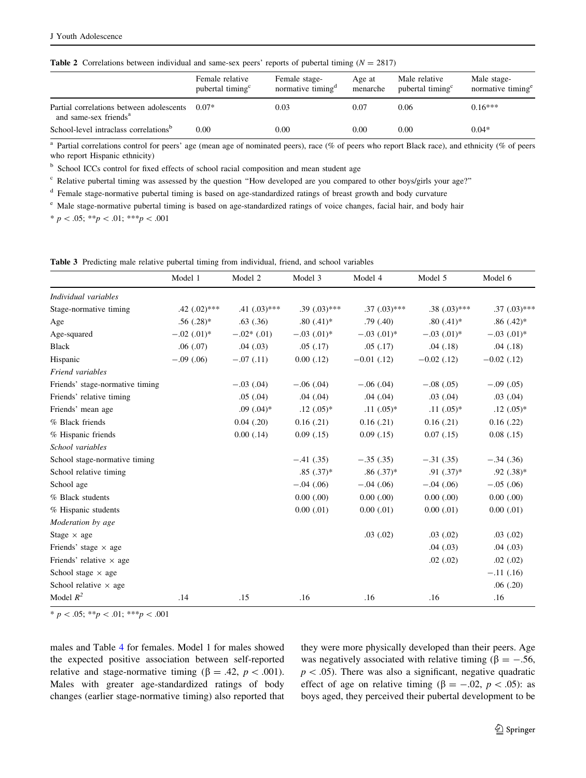<span id="page-6-0"></span>

|                                                                               | Female relative<br>pubertal timing <sup>c</sup> | Female stage-<br>normative timing <sup>a</sup> | Age at<br>menarche | Male relative<br>pubertal timing <sup>c</sup> | Male stage-<br>normative timing <sup>e</sup> |
|-------------------------------------------------------------------------------|-------------------------------------------------|------------------------------------------------|--------------------|-----------------------------------------------|----------------------------------------------|
| Partial correlations between adolescents<br>and same-sex friends <sup>a</sup> | $0.07*$                                         | 0.03                                           | 0.07               | 0.06                                          | $0.16***$                                    |
| School-level intraclass correlations <sup>b</sup>                             | 0.00                                            | $0.00\,$                                       | 0.00               | 0.00                                          | $0.04*$                                      |

<sup>a</sup> Partial correlations control for peers' age (mean age of nominated peers), race (% of peers who report Black race), and ethnicity (% of peers who report Hispanic ethnicity)

<sup>b</sup> School ICCs control for fixed effects of school racial composition and mean student age

 $c$  Relative pubertal timing was assessed by the question "How developed are you compared to other boys/girls your age?"

<sup>d</sup> Female stage-normative pubertal timing is based on age-standardized ratings of breast growth and body curvature

<sup>e</sup> Male stage-normative pubertal timing is based on age-standardized ratings of voice changes, facial hair, and body hair

 $* p < .05; **p < .01; **p < .001$ 

|  |  |  | <b>Table 3</b> Predicting male relative pubertal timing from individual, friend, and school variables |  |  |
|--|--|--|-------------------------------------------------------------------------------------------------------|--|--|
|  |  |  |                                                                                                       |  |  |

|                                 | Model 1                   | Model 2         | Model 3          | Model 4          | Model 5          | Model 6           |
|---------------------------------|---------------------------|-----------------|------------------|------------------|------------------|-------------------|
| Individual variables            |                           |                 |                  |                  |                  |                   |
| Stage-normative timing          | $.42$ $(.02)$ ***         | .41 $(.03)$ *** | $.39(.03)$ ***   | $.37(.03)$ ***   | $.38(.03)$ ***   | $.37 \,(.03)$ *** |
| Age                             | $.56(.28)$ *              | .63(0.36)       | $.80(.41)*$      | .79(.40)         | $.80(.41)*$      | $.86(.42)$ *      |
| Age-squared                     | $-.02$ (.01) <sup>*</sup> | $-.02*(.01)$    | $-.03$ $(.01)^*$ | $-.03$ $(.01)^*$ | $-.03$ $(.01)^*$ | $-.03$ $(.01)^*$  |
| <b>Black</b>                    | .06(.07)                  | .04(03)         | .05(0.17)        | .05(0.17)        | .04(.18)         | .04(.18)          |
| Hispanic                        | $-.09(.06)$               | $-.07(.11)$     | 0.00(0.12)       | $-0.01$ (.12)    | $-0.02$ (.12)    | $-0.02$ (.12)     |
| Friend variables                |                           |                 |                  |                  |                  |                   |
| Friends' stage-normative timing |                           | $-.03$ (.04)    | $-.06(.04)$      | $-.06(.04)$      | $-.08(.05)$      | $-.09(.05)$       |
| Friends' relative timing        |                           | .05(.04)        | .04(.04)         | .04(.04)         | $.03$ $(.04)$    | .03(0.04)         |
| Friends' mean age               |                           | $.09(.04)*$     | $.12(.05)*$      | $.11(.05)*$      | $.11(.05)*$      | $.12 \; (.05)^*$  |
| % Black friends                 |                           | 0.04(0.20)      | 0.16(.21)        | 0.16(0.21)       | 0.16(0.21)       | 0.16(0.22)        |
| % Hispanic friends              |                           | $0.00$ $(.14)$  | 0.09(0.15)       | 0.09(0.15)       | 0.07(0.15)       | 0.08(0.15)        |
| School variables                |                           |                 |                  |                  |                  |                   |
| School stage-normative timing   |                           |                 | $-.41(.35)$      | $-.35(.35)$      | $-.31(.35)$      | $-.34(.36)$       |
| School relative timing          |                           |                 | $.85(.37)*$      | $.86(.37)*$      | $.91(.37)$ *     | $.92(.38)*$       |
| School age                      |                           |                 | $-.04(.06)$      | $-.04(.06)$      | $-.04(.06)$      | $-.05(.06)$       |
| % Black students                |                           |                 | 0.00(0.00)       | 0.00(0.00)       | 0.00(0.00)       | 0.00(0.00)        |
| % Hispanic students             |                           |                 | $0.00$ $(.01)$   | $0.00$ $(.01)$   | $0.00$ $(.01)$   | $0.00$ $(.01)$    |
| Moderation by age               |                           |                 |                  |                  |                  |                   |
| Stage $\times$ age              |                           |                 |                  | .03(0.02)        | .03(0.02)        | .03(0.02)         |
| Friends' stage $\times$ age     |                           |                 |                  |                  | .04(0.03)        | .04(03)           |
| Friends' relative $\times$ age  |                           |                 |                  |                  | .02(0.02)        | .02(0.02)         |
| School stage $\times$ age       |                           |                 |                  |                  |                  | $-.11(.16)$       |
| School relative $\times$ age    |                           |                 |                  |                  |                  | .06(.20)          |
| Model $R^2$                     | .14                       | .15             | .16              | .16              | .16              | .16               |

\* p < .05; \*\*p < .01; \*\*\*p < .001

males and Table [4](#page-7-0) for females. Model 1 for males showed the expected positive association between self-reported relative and stage-normative timing ( $\beta = .42$ ,  $p < .001$ ). Males with greater age-standardized ratings of body changes (earlier stage-normative timing) also reported that they were more physically developed than their peers. Age was negatively associated with relative timing ( $\beta = -.56$ ,  $p\lt 0.05$ ). There was also a significant, negative quadratic effect of age on relative timing ( $\beta = -.02$ ,  $p < .05$ ): as boys aged, they perceived their pubertal development to be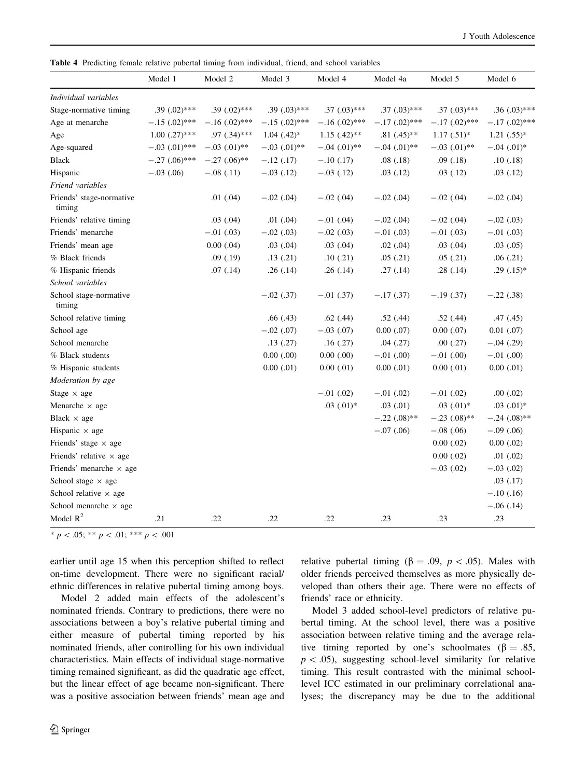<span id="page-7-0"></span>Table 4 Predicting female relative pubertal timing from individual, friend, and school variables

|                                    | Model 1            | Model 2           | Model 3           | Model 4          | Model 4a          | Model 5           | Model 6                     |
|------------------------------------|--------------------|-------------------|-------------------|------------------|-------------------|-------------------|-----------------------------|
| Individual variables               |                    |                   |                   |                  |                   |                   |                             |
| Stage-normative timing             | .39 $(.02)$ ***    | $.39 \,(.02)$ *** | $.39(0.03)$ ***   | $.37(.03)$ ***   | $.37 \,(.03)$ *** | $.37$ $(.03)$ *** | $.36(.03)$ ***              |
| Age at menarche                    | $-.15(.02)$ ***    | $-.16(.02)$ ***   | $-.15(.02)$ ***   | $-.16(.02)$ ***  | $-.17(.02)$ ***   | $-.17(.02)$ ***   | $-.17(.02)$ ***             |
| Age                                | $1.00$ $(.27)$ *** | $.97$ $(.34)$ *** | $1.04$ $(.42)*$   | $1.15$ $(.42)**$ | $.81(0.45)$ **    | $1.17(.51)$ *     | $1.21(.55)*$                |
| Age-squared                        | $-.03$ $(.01)$ *** | $-.03$ $(.01)$ ** | $-.03$ $(.01)$ ** | $-.04(.01)$ **   | $-.04(.01)$ **    | $-.03$ $(.01)$ ** | $-.04$ $(.01)$ <sup>*</sup> |
| <b>Black</b>                       | $-.27(.06)$ ***    | $-.27(.06)$ **    | $-.12(.17)$       | $-.10(.17)$      | .08(.18)          | .09(0.18)         | .10(0.18)                   |
| Hispanic                           | $-.03(.06)$        | $-.08(.11)$       | $-.03$ $(.12)$    | $-.03(.12)$      | .03(.12)          | .03(.12)          | .03(.12)                    |
| Friend variables                   |                    |                   |                   |                  |                   |                   |                             |
| Friends' stage-normative<br>timing |                    | .01(0.04)         | $-.02$ (.04)      | $-.02$ (.04)     | $-.02$ (.04)      | $-.02$ (.04)      | $-.02$ (.04)                |
| Friends' relative timing           |                    | .03(.04)          | .01(0.04)         | $-.01$ (.04)     | $-.02$ (.04)      | $-.02$ (.04)      | $-.02(.03)$                 |
| Friends' menarche                  |                    | $-.01$ $(.03)$    | $-.02(.03)$       | $-.02(.03)$      | $-.01(.03)$       | $-.01$ $(.03)$    | $-.01(.03)$                 |
| Friends' mean age                  |                    | $0.00$ $(.04)$    | .03(.04)          | .03(0.04)        | $.02$ $(.04)$     | $.03$ $(.04)$     | .03(0.05)                   |
| % Black friends                    |                    | .09(.19)          | .13(.21)          | .10(.21)         | .05(.21)          | .05(.21)          | .06(.21)                    |
| % Hispanic friends                 |                    | .07(.14)          | .26(.14)          | .26(.14)         | .27(.14)          | .28(.14)          | $.29(.15)*$                 |
| School variables                   |                    |                   |                   |                  |                   |                   |                             |
| School stage-normative<br>timing   |                    |                   | $-.02$ (.37)      | $-.01$ (.37)     | $-.17(.37)$       | $-.19(.37)$       | $-.22(.38)$                 |
| School relative timing             |                    |                   | .66(.43)          | .62(.44)         | .52(.44)          | .52(.44)          | .47(.45)                    |
| School age                         |                    |                   | $-.02$ $(.07)$    | $-.03$ $(.07)$   | $0.00$ $(.07)$    | $0.00$ $(.07)$    | $0.01$ $(.07)$              |
| School menarche                    |                    |                   | .13(.27)          | .16(.27)         | .04(.27)          | .00(.27)          | $-.04(.29)$                 |
| % Black students                   |                    |                   | 0.00(0.00)        | 0.00(0.00)       | $-.01$ $(.00)$    | $-.01$ $(.00)$    | $-.01(.00)$                 |
| % Hispanic students                |                    |                   | $0.00$ $(.01)$    | $0.00$ $(.01)$   | $0.00$ $(.01)$    | $0.00$ $(.01)$    | $0.00$ $(.01)$              |
| Moderation by age                  |                    |                   |                   |                  |                   |                   |                             |
| Stage $\times$ age                 |                    |                   |                   | $-.01$ $(.02)$   | $-.01$ $(.02)$    | $-.01$ $(.02)$    | .00(0.02)                   |
| Menarche $\times$ age              |                    |                   |                   | $.03$ $(.01)*$   | .03(.01)          | $.03$ $(.01)*$    | $.03$ $(.01)*$              |
| Black $\times$ age                 |                    |                   |                   |                  | $-.22(.08)$ **    | $-.23(.08)$ **    | $-.24(.08)$ **              |
| Hispanic $\times$ age              |                    |                   |                   |                  | $-.07(.06)$       | $-.08(.06)$       | $-.09(.06)$                 |
| Friends' stage $\times$ age        |                    |                   |                   |                  |                   | $0.00$ $(.02)$    | $0.00$ $(.02)$              |
| Friends' relative $\times$ age     |                    |                   |                   |                  |                   | $0.00$ $(.02)$    | .01(0.02)                   |
| Friends' menarche $\times$ age     |                    |                   |                   |                  |                   | $-.03(.02)$       | $-.03$ $(.02)$              |
| School stage $\times$ age          |                    |                   |                   |                  |                   |                   | .03(.17)                    |
| School relative $\times$ age       |                    |                   |                   |                  |                   |                   | $-.10(.16)$                 |
| School menarche $\times$ age       |                    |                   |                   |                  |                   |                   | $-.06(.14)$                 |
| Model $R^2$                        | .21                | .22               | .22               | .22              | .23               | .23               | .23                         |

\*  $p$  < .05; \*\*  $p$  < .01; \*\*\*  $p$  < .001

earlier until age 15 when this perception shifted to reflect on-time development. There were no significant racial/ ethnic differences in relative pubertal timing among boys.

Model 2 added main effects of the adolescent's nominated friends. Contrary to predictions, there were no associations between a boy's relative pubertal timing and either measure of pubertal timing reported by his nominated friends, after controlling for his own individual characteristics. Main effects of individual stage-normative timing remained significant, as did the quadratic age effect, but the linear effect of age became non-significant. There was a positive association between friends' mean age and relative pubertal timing ( $\beta = .09$ ,  $p < .05$ ). Males with older friends perceived themselves as more physically developed than others their age. There were no effects of friends' race or ethnicity.

Model 3 added school-level predictors of relative pubertal timing. At the school level, there was a positive association between relative timing and the average relative timing reported by one's schoolmates ( $\beta = .85$ ,  $p$  < .05), suggesting school-level similarity for relative timing. This result contrasted with the minimal schoollevel ICC estimated in our preliminary correlational analyses; the discrepancy may be due to the additional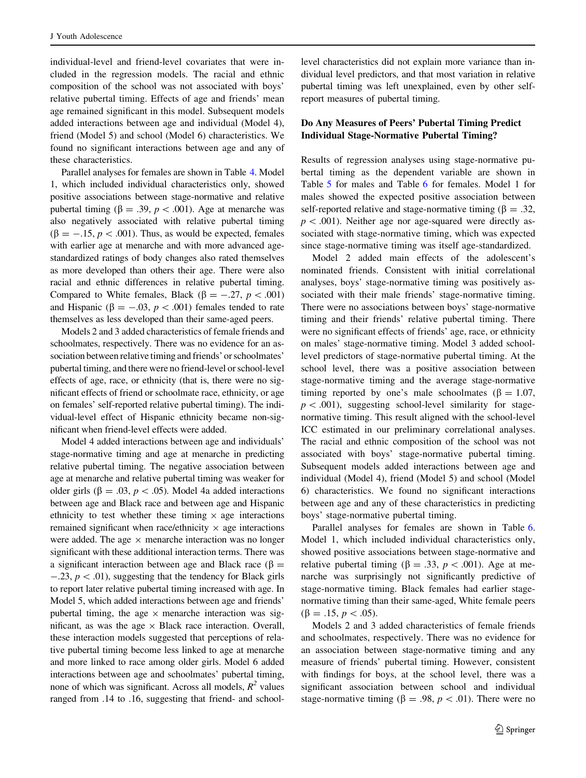individual-level and friend-level covariates that were included in the regression models. The racial and ethnic composition of the school was not associated with boys' relative pubertal timing. Effects of age and friends' mean age remained significant in this model. Subsequent models added interactions between age and individual (Model 4), friend (Model 5) and school (Model 6) characteristics. We found no significant interactions between age and any of these characteristics.

Parallel analyses for females are shown in Table [4.](#page-7-0) Model 1, which included individual characteristics only, showed positive associations between stage-normative and relative pubertal timing ( $\beta = .39$ ,  $p < .001$ ). Age at menarche was also negatively associated with relative pubertal timing  $(\beta = -.15, p < .001)$ . Thus, as would be expected, females with earlier age at menarche and with more advanced agestandardized ratings of body changes also rated themselves as more developed than others their age. There were also racial and ethnic differences in relative pubertal timing. Compared to White females, Black ( $\beta = -.27, p < .001$ ) and Hispanic ( $\beta = -.03$ ,  $p < .001$ ) females tended to rate themselves as less developed than their same-aged peers.

Models 2 and 3 added characteristics of female friends and schoolmates, respectively. There was no evidence for an association between relative timing and friends' or schoolmates' pubertal timing, and there were no friend-level or school-level effects of age, race, or ethnicity (that is, there were no significant effects of friend or schoolmate race, ethnicity, or age on females' self-reported relative pubertal timing). The individual-level effect of Hispanic ethnicity became non-significant when friend-level effects were added.

Model 4 added interactions between age and individuals' stage-normative timing and age at menarche in predicting relative pubertal timing. The negative association between age at menarche and relative pubertal timing was weaker for older girls ( $\beta = .03$ ,  $p < .05$ ). Model 4a added interactions between age and Black race and between age and Hispanic ethnicity to test whether these timing  $\times$  age interactions remained significant when race/ethnicity  $\times$  age interactions were added. The age  $\times$  menarche interaction was no longer significant with these additional interaction terms. There was a significant interaction between age and Black race ( $\beta$  =  $-.23, p < .01$ ), suggesting that the tendency for Black girls to report later relative pubertal timing increased with age. In Model 5, which added interactions between age and friends' pubertal timing, the age  $\times$  menarche interaction was significant, as was the age  $\times$  Black race interaction. Overall, these interaction models suggested that perceptions of relative pubertal timing become less linked to age at menarche and more linked to race among older girls. Model 6 added interactions between age and schoolmates' pubertal timing, none of which was significant. Across all models,  $R^2$  values ranged from .14 to .16, suggesting that friend- and schoollevel characteristics did not explain more variance than individual level predictors, and that most variation in relative pubertal timing was left unexplained, even by other selfreport measures of pubertal timing.

# Do Any Measures of Peers' Pubertal Timing Predict Individual Stage-Normative Pubertal Timing?

Results of regression analyses using stage-normative pubertal timing as the dependent variable are shown in Table [5](#page-9-0) for males and Table [6](#page-10-0) for females. Model 1 for males showed the expected positive association between self-reported relative and stage-normative timing ( $\beta = .32$ ,  $p$  < .001). Neither age nor age-squared were directly associated with stage-normative timing, which was expected since stage-normative timing was itself age-standardized.

Model 2 added main effects of the adolescent's nominated friends. Consistent with initial correlational analyses, boys' stage-normative timing was positively associated with their male friends' stage-normative timing. There were no associations between boys' stage-normative timing and their friends' relative pubertal timing. There were no significant effects of friends' age, race, or ethnicity on males' stage-normative timing. Model 3 added schoollevel predictors of stage-normative pubertal timing. At the school level, there was a positive association between stage-normative timing and the average stage-normative timing reported by one's male schoolmates ( $\beta = 1.07$ ,  $p\lt 0.001$ , suggesting school-level similarity for stagenormative timing. This result aligned with the school-level ICC estimated in our preliminary correlational analyses. The racial and ethnic composition of the school was not associated with boys' stage-normative pubertal timing. Subsequent models added interactions between age and individual (Model 4), friend (Model 5) and school (Model 6) characteristics. We found no significant interactions between age and any of these characteristics in predicting boys' stage-normative pubertal timing.

Parallel analyses for females are shown in Table [6.](#page-10-0) Model 1, which included individual characteristics only, showed positive associations between stage-normative and relative pubertal timing ( $\beta = .33$ ,  $p < .001$ ). Age at menarche was surprisingly not significantly predictive of stage-normative timing. Black females had earlier stagenormative timing than their same-aged, White female peers  $(\beta = .15, p < .05).$ 

Models 2 and 3 added characteristics of female friends and schoolmates, respectively. There was no evidence for an association between stage-normative timing and any measure of friends' pubertal timing. However, consistent with findings for boys, at the school level, there was a significant association between school and individual stage-normative timing ( $\beta = .98$ ,  $p < .01$ ). There were no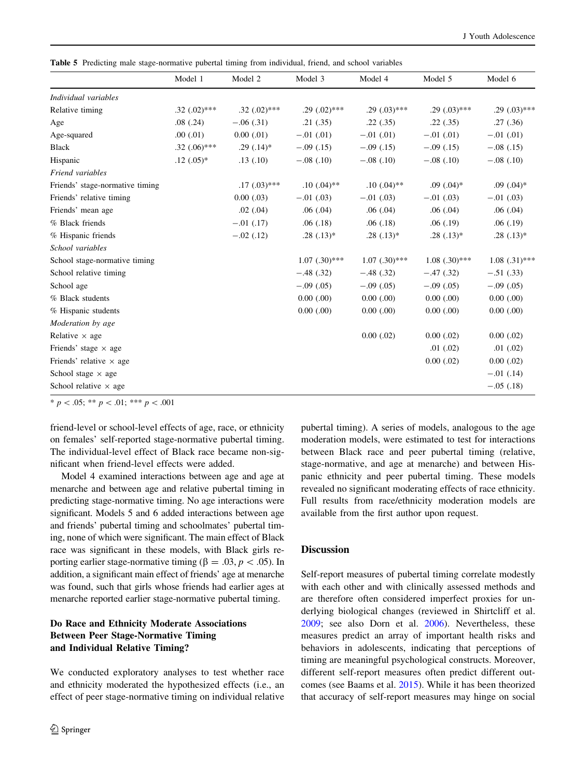<span id="page-9-0"></span>Table 5 Predicting male stage-normative pubertal timing from individual, friend, and school variables

|                                 | Model 1           | Model 2        | Model 3            | Model 4            | Model 5            | Model 6         |
|---------------------------------|-------------------|----------------|--------------------|--------------------|--------------------|-----------------|
| Individual variables            |                   |                |                    |                    |                    |                 |
| Relative timing                 | $.32$ $(.02)$ *** | $.32(.02)$ *** | $.29(.02)$ ***     | $.29 \,(.03)$ ***  | $.29(.03)$ ***     | $.29(0.03)$ *** |
| Age                             | .08(.24)          | $-.06(.31)$    | .21(.35)           | .22(.35)           | .22(.35)           | .27(.36)        |
| Age-squared                     | .00(0.01)         | 0.00(0.01)     | $-.01$ (.01)       | $-.01$ (.01)       | $-.01$ (.01)       | $-.01$ (.01)    |
| <b>Black</b>                    | $.32(.06)$ ***    | $.29(.14)*$    | $-.09(.15)$        | $-.09(.15)$        | $-.09(.15)$        | $-.08(.15)$     |
| Hispanic                        | $.12(.05)^*$      | .13(.10)       | $-.08(.10)$        | $-.08(.10)$        | $-.08(.10)$        | $-.08(.10)$     |
| Friend variables                |                   |                |                    |                    |                    |                 |
| Friends' stage-normative timing |                   | $.17(.03)$ *** | $.10(.04)$ **      | $.10(.04)$ **      | $.09$ $(.04)*$     | $.09(0.04)*$    |
| Friends' relative timing        |                   | 0.00(0.03)     | $-.01$ (.03)       | $-.01$ (.03)       | $-.01$ (.03)       | $-.01$ (.03)    |
| Friends' mean age               |                   | $.02$ $(.04)$  | .06(.04)           | .06(.04)           | .06(.04)           | .06(.04)        |
| % Black friends                 |                   | $-.01$ (.17)   | .06(0.18)          | .06(0.18)          | .06(.19)           | .06(.19)        |
| % Hispanic friends              |                   | $-.02$ (.12)   | $.28(.13)*$        | $.28(.13)*$        | $.28(.13)*$        | $.28(.13)*$     |
| School variables                |                   |                |                    |                    |                    |                 |
| School stage-normative timing   |                   |                | $1.07$ $(.30)$ *** | $1.07$ $(.30)$ *** | $1.08$ $(.30)$ *** | $1.08(.31)$ *** |
| School relative timing          |                   |                | $-.48(.32)$        | $-.48(.32)$        | $-.47(.32)$        | $-.51(.33)$     |
| School age                      |                   |                | $-.09(.05)$        | $-.09(.05)$        | $-.09(.05)$        | $-.09(.05)$     |
| % Black students                |                   |                | 0.00(0.00)         | 0.00(0.00)         | 0.00(0.00)         | 0.00(0.00)      |
| % Hispanic students             |                   |                | 0.00(0.00)         | 0.00(0.00)         | 0.00(0.00)         | 0.00(0.00)      |
| Moderation by age               |                   |                |                    |                    |                    |                 |
| Relative $\times$ age           |                   |                |                    | $0.00$ $(.02)$     | $0.00$ $(.02)$     | $0.00$ $(.02)$  |
| Friends' stage $\times$ age     |                   |                |                    |                    | .01(0.02)          | .01(0.02)       |
| Friends' relative $\times$ age  |                   |                |                    |                    | $0.00$ $(.02)$     | $0.00$ $(.02)$  |
| School stage $\times$ age       |                   |                |                    |                    |                    | $-.01$ (.14)    |
| School relative $\times$ age    |                   |                |                    |                    |                    | $-.05(.18)$     |

\* p < .05; \*\* p < .01; \*\*\* p < .001

friend-level or school-level effects of age, race, or ethnicity on females' self-reported stage-normative pubertal timing. The individual-level effect of Black race became non-significant when friend-level effects were added.

Model 4 examined interactions between age and age at menarche and between age and relative pubertal timing in predicting stage-normative timing. No age interactions were significant. Models 5 and 6 added interactions between age and friends' pubertal timing and schoolmates' pubertal timing, none of which were significant. The main effect of Black race was significant in these models, with Black girls reporting earlier stage-normative timing ( $\beta = .03, p < .05$ ). In addition, a significant main effect of friends' age at menarche was found, such that girls whose friends had earlier ages at menarche reported earlier stage-normative pubertal timing.

# Do Race and Ethnicity Moderate Associations Between Peer Stage-Normative Timing and Individual Relative Timing?

We conducted exploratory analyses to test whether race and ethnicity moderated the hypothesized effects (i.e., an effect of peer stage-normative timing on individual relative

pubertal timing). A series of models, analogous to the age moderation models, were estimated to test for interactions between Black race and peer pubertal timing (relative, stage-normative, and age at menarche) and between Hispanic ethnicity and peer pubertal timing. These models revealed no significant moderating effects of race ethnicity. Full results from race/ethnicity moderation models are available from the first author upon request.

# **Discussion**

Self-report measures of pubertal timing correlate modestly with each other and with clinically assessed methods and are therefore often considered imperfect proxies for underlying biological changes (reviewed in Shirtcliff et al. [2009](#page-13-0); see also Dorn et al. [2006\)](#page-13-0). Nevertheless, these measures predict an array of important health risks and behaviors in adolescents, indicating that perceptions of timing are meaningful psychological constructs. Moreover, different self-report measures often predict different outcomes (see Baams et al. [2015](#page-12-0)). While it has been theorized that accuracy of self-report measures may hinge on social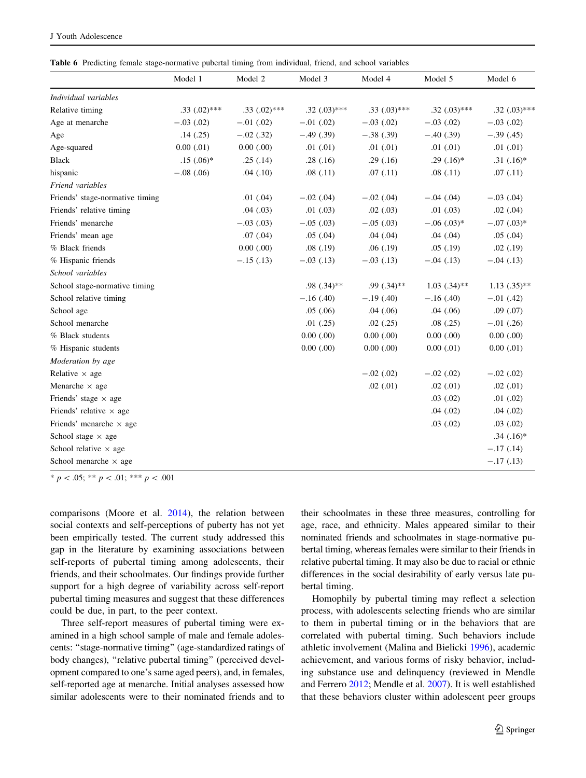<span id="page-10-0"></span>Table 6 Predicting female stage-normative pubertal timing from individual, friend, and school variables

|                                 | Model 1        | Model 2        | Model 3           | Model 4        | Model 5           | Model 6           |
|---------------------------------|----------------|----------------|-------------------|----------------|-------------------|-------------------|
| Individual variables            |                |                |                   |                |                   |                   |
| Relative timing                 | $.33(.02)$ *** | $.33(.02)$ *** | $.32$ $(.03)$ *** | $.33(.03)$ *** | $.32 \,(.03)$ *** | $.32$ $(.03)$ *** |
| Age at menarche                 | $-.03$ (.02)   | $-.01$ (.02)   | $-.01$ (.02)      | $-.03$ $(.02)$ | $-.03$ $(.02)$    | $-.03(.02)$       |
| Age                             | .14(.25)       | $-.02$ $(.32)$ | $-.49(.39)$       | $-.38(.39)$    | $-.40(.39)$       | $-.39(.45)$       |
| Age-squared                     | $0.00$ $(.01)$ | 0.00(0.00)     | .01(0.01)         | $.01$ $(.01)$  | .01(0.01)         | .01(0.01)         |
| <b>Black</b>                    | $.15(.06)$ *   | .25(.14)       | .28(.16)          | .29(.16)       | $.29(.16)$ *      | $.31(.16)^*$      |
| hispanic                        | $-.08(.06)$    | .04(.10)       | .08(.11)          | .07(0.11)      | .08(.11)          | .07(0.11)         |
| Friend variables                |                |                |                   |                |                   |                   |
| Friends' stage-normative timing |                | .01(0.04)      | $-.02$ (.04)      | $-.02$ (.04)   | $-.04$ (.04)      | $-.03$ (.04)      |
| Friends' relative timing        |                | .04(03)        | .01(0.03)         | .02(0.03)      | .01(0.03)         | $.02$ $(.04)$     |
| Friends' menarche               |                | $-.03$ $(.03)$ | $-.05(.03)$       | $-.05(.03)$    | $-.06(.03)*$      | $-.07(.03)*$      |
| Friends' mean age               |                | .07(0.04)      | .05(.04)          | .04(.04)       | .04(.04)          | .05(0.04)         |
| % Black friends                 |                | 0.00(0.00)     | .08(.19)          | .06(.19)       | .05(.19)          | .02(.19)          |
| % Hispanic friends              |                | $-.15(.13)$    | $-.03$ (.13)      | $-.03$ $(.13)$ | $-.04$ (.13)      | $-.04$ $(.13)$    |
| School variables                |                |                |                   |                |                   |                   |
| School stage-normative timing   |                |                | $.98(.34)$ **     | $.99(.34)$ **  | $1.03(.34)$ **    | $1.13$ $(.35)$ ** |
| School relative timing          |                |                | $-.16(.40)$       | $-.19(.40)$    | $-.16(.40)$       | $-.01$ (.42)      |
| School age                      |                |                | .05(.06)          | .04(.06)       | .04(.06)          | .09(.07)          |
| School menarche                 |                |                | .01(0.25)         | .02(0.25)      | .08(.25)          | $-.01$ $(.26)$    |
| % Black students                |                |                | $0.00$ $(.00)$    | 0.00(0.00)     | 0.00(0.00)        | 0.00(0.00)        |
| % Hispanic students             |                |                | $0.00$ $(.00)$    | 0.00(0.00)     | $0.00$ $(.01)$    | $0.00$ $(.01)$    |
| Moderation by age               |                |                |                   |                |                   |                   |
| Relative $\times$ age           |                |                |                   | $-.02$ (.02)   | $-.02$ (.02)      | $-.02$ $(.02)$    |
| Menarche $\times$ age           |                |                |                   | .02(.01)       | $.02$ $(.01)$     | $.02$ $(.01)$     |
| Friends' stage $\times$ age     |                |                |                   |                | .03(0.02)         | .01(0.02)         |
| Friends' relative $\times$ age  |                |                |                   |                | .04(.02)          | .04(.02)          |
| Friends' menarche $\times$ age  |                |                |                   |                | .03(.02)          | .03(0.02)         |
| School stage $\times$ age       |                |                |                   |                |                   | $.34(.16)$ *      |
| School relative $\times$ age    |                |                |                   |                |                   | $-.17(.14)$       |
| School menarche $\times$ age    |                |                |                   |                |                   | $-.17(.13)$       |

\*  $p$  < .05; \*\*  $p$  < .01; \*\*\*  $p$  < .001

comparisons (Moore et al. [2014](#page-13-0)), the relation between social contexts and self-perceptions of puberty has not yet been empirically tested. The current study addressed this gap in the literature by examining associations between self-reports of pubertal timing among adolescents, their friends, and their schoolmates. Our findings provide further support for a high degree of variability across self-report pubertal timing measures and suggest that these differences could be due, in part, to the peer context.

Three self-report measures of pubertal timing were examined in a high school sample of male and female adolescents: ''stage-normative timing'' (age-standardized ratings of body changes), "relative pubertal timing" (perceived development compared to one's same aged peers), and, in females, self-reported age at menarche. Initial analyses assessed how similar adolescents were to their nominated friends and to their schoolmates in these three measures, controlling for age, race, and ethnicity. Males appeared similar to their nominated friends and schoolmates in stage-normative pubertal timing, whereas females were similar to their friends in relative pubertal timing. It may also be due to racial or ethnic differences in the social desirability of early versus late pubertal timing.

Homophily by pubertal timing may reflect a selection process, with adolescents selecting friends who are similar to them in pubertal timing or in the behaviors that are correlated with pubertal timing. Such behaviors include athletic involvement (Malina and Bielicki [1996\)](#page-13-0), academic achievement, and various forms of risky behavior, including substance use and delinquency (reviewed in Mendle and Ferrero [2012;](#page-13-0) Mendle et al. [2007](#page-13-0)). It is well established that these behaviors cluster within adolescent peer groups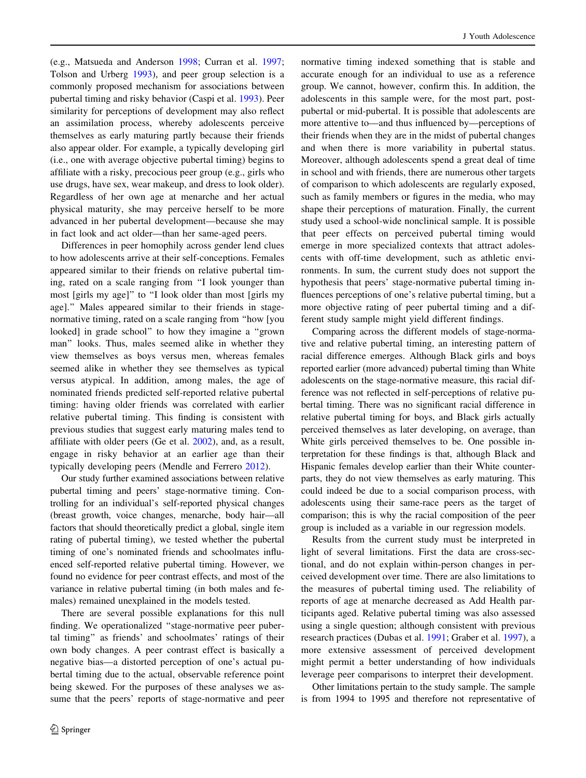(e.g., Matsueda and Anderson [1998](#page-13-0); Curran et al. [1997](#page-13-0); Tolson and Urberg [1993\)](#page-13-0), and peer group selection is a commonly proposed mechanism for associations between pubertal timing and risky behavior (Caspi et al. [1993\)](#page-12-0). Peer similarity for perceptions of development may also reflect an assimilation process, whereby adolescents perceive themselves as early maturing partly because their friends also appear older. For example, a typically developing girl (i.e., one with average objective pubertal timing) begins to affiliate with a risky, precocious peer group (e.g., girls who use drugs, have sex, wear makeup, and dress to look older). Regardless of her own age at menarche and her actual physical maturity, she may perceive herself to be more advanced in her pubertal development—because she may in fact look and act older—than her same-aged peers.

Differences in peer homophily across gender lend clues to how adolescents arrive at their self-conceptions. Females appeared similar to their friends on relative pubertal timing, rated on a scale ranging from ''I look younger than most [girls my age]'' to ''I look older than most [girls my age].'' Males appeared similar to their friends in stagenormative timing, rated on a scale ranging from ''how [you looked] in grade school" to how they imagine a "grown" man'' looks. Thus, males seemed alike in whether they view themselves as boys versus men, whereas females seemed alike in whether they see themselves as typical versus atypical. In addition, among males, the age of nominated friends predicted self-reported relative pubertal timing: having older friends was correlated with earlier relative pubertal timing. This finding is consistent with previous studies that suggest early maturing males tend to affiliate with older peers (Ge et al. [2002\)](#page-13-0), and, as a result, engage in risky behavior at an earlier age than their typically developing peers (Mendle and Ferrero [2012](#page-13-0)).

Our study further examined associations between relative pubertal timing and peers' stage-normative timing. Controlling for an individual's self-reported physical changes (breast growth, voice changes, menarche, body hair—all factors that should theoretically predict a global, single item rating of pubertal timing), we tested whether the pubertal timing of one's nominated friends and schoolmates influenced self-reported relative pubertal timing. However, we found no evidence for peer contrast effects, and most of the variance in relative pubertal timing (in both males and females) remained unexplained in the models tested.

There are several possible explanations for this null finding. We operationalized ''stage-normative peer pubertal timing'' as friends' and schoolmates' ratings of their own body changes. A peer contrast effect is basically a negative bias—a distorted perception of one's actual pubertal timing due to the actual, observable reference point being skewed. For the purposes of these analyses we assume that the peers' reports of stage-normative and peer normative timing indexed something that is stable and accurate enough for an individual to use as a reference group. We cannot, however, confirm this. In addition, the adolescents in this sample were, for the most part, postpubertal or mid-pubertal. It is possible that adolescents are more attentive to—and thus influenced by—perceptions of their friends when they are in the midst of pubertal changes and when there is more variability in pubertal status. Moreover, although adolescents spend a great deal of time in school and with friends, there are numerous other targets of comparison to which adolescents are regularly exposed, such as family members or figures in the media, who may shape their perceptions of maturation. Finally, the current study used a school-wide nonclinical sample. It is possible that peer effects on perceived pubertal timing would emerge in more specialized contexts that attract adolescents with off-time development, such as athletic environments. In sum, the current study does not support the hypothesis that peers' stage-normative pubertal timing influences perceptions of one's relative pubertal timing, but a more objective rating of peer pubertal timing and a different study sample might yield different findings.

Comparing across the different models of stage-normative and relative pubertal timing, an interesting pattern of racial difference emerges. Although Black girls and boys reported earlier (more advanced) pubertal timing than White adolescents on the stage-normative measure, this racial difference was not reflected in self-perceptions of relative pubertal timing. There was no significant racial difference in relative pubertal timing for boys, and Black girls actually perceived themselves as later developing, on average, than White girls perceived themselves to be. One possible interpretation for these findings is that, although Black and Hispanic females develop earlier than their White counterparts, they do not view themselves as early maturing. This could indeed be due to a social comparison process, with adolescents using their same-race peers as the target of comparison; this is why the racial composition of the peer group is included as a variable in our regression models.

Results from the current study must be interpreted in light of several limitations. First the data are cross-sectional, and do not explain within-person changes in perceived development over time. There are also limitations to the measures of pubertal timing used. The reliability of reports of age at menarche decreased as Add Health participants aged. Relative pubertal timing was also assessed using a single question; although consistent with previous research practices (Dubas et al. [1991;](#page-13-0) Graber et al. [1997](#page-13-0)), a more extensive assessment of perceived development might permit a better understanding of how individuals leverage peer comparisons to interpret their development.

Other limitations pertain to the study sample. The sample is from 1994 to 1995 and therefore not representative of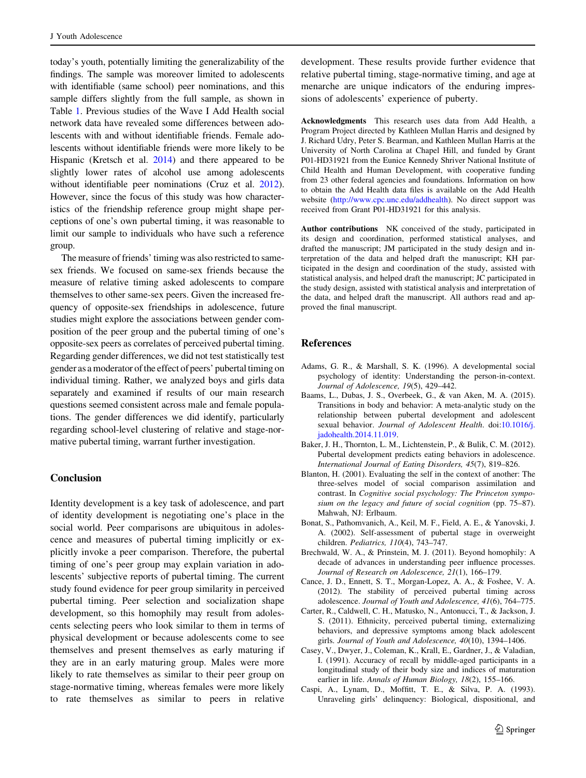<span id="page-12-0"></span>today's youth, potentially limiting the generalizability of the findings. The sample was moreover limited to adolescents with identifiable (same school) peer nominations, and this sample differs slightly from the full sample, as shown in Table [1.](#page-4-0) Previous studies of the Wave I Add Health social network data have revealed some differences between adolescents with and without identifiable friends. Female adolescents without identifiable friends were more likely to be Hispanic (Kretsch et al. [2014](#page-13-0)) and there appeared to be slightly lower rates of alcohol use among adolescents without identifiable peer nominations (Cruz et al. [2012](#page-13-0)). However, since the focus of this study was how characteristics of the friendship reference group might shape perceptions of one's own pubertal timing, it was reasonable to limit our sample to individuals who have such a reference group.

The measure of friends' timing was also restricted to samesex friends. We focused on same-sex friends because the measure of relative timing asked adolescents to compare themselves to other same-sex peers. Given the increased frequency of opposite-sex friendships in adolescence, future studies might explore the associations between gender composition of the peer group and the pubertal timing of one's opposite-sex peers as correlates of perceived pubertal timing. Regarding gender differences, we did not test statistically test gender as a moderator of the effect of peers' pubertal timing on individual timing. Rather, we analyzed boys and girls data separately and examined if results of our main research questions seemed consistent across male and female populations. The gender differences we did identify, particularly regarding school-level clustering of relative and stage-normative pubertal timing, warrant further investigation.

## Conclusion

Identity development is a key task of adolescence, and part of identity development is negotiating one's place in the social world. Peer comparisons are ubiquitous in adolescence and measures of pubertal timing implicitly or explicitly invoke a peer comparison. Therefore, the pubertal timing of one's peer group may explain variation in adolescents' subjective reports of pubertal timing. The current study found evidence for peer group similarity in perceived pubertal timing. Peer selection and socialization shape development, so this homophily may result from adolescents selecting peers who look similar to them in terms of physical development or because adolescents come to see themselves and present themselves as early maturing if they are in an early maturing group. Males were more likely to rate themselves as similar to their peer group on stage-normative timing, whereas females were more likely to rate themselves as similar to peers in relative

development. These results provide further evidence that relative pubertal timing, stage-normative timing, and age at menarche are unique indicators of the enduring impressions of adolescents' experience of puberty.

Acknowledgments This research uses data from Add Health, a Program Project directed by Kathleen Mullan Harris and designed by J. Richard Udry, Peter S. Bearman, and Kathleen Mullan Harris at the University of North Carolina at Chapel Hill, and funded by Grant P01-HD31921 from the Eunice Kennedy Shriver National Institute of Child Health and Human Development, with cooperative funding from 23 other federal agencies and foundations. Information on how to obtain the Add Health data files is available on the Add Health website ([http://www.cpc.unc.edu/addhealth\)](http://www.cpc.unc.edu/addhealth). No direct support was received from Grant P01-HD31921 for this analysis.

Author contributions NK conceived of the study, participated in its design and coordination, performed statistical analyses, and drafted the manuscript; JM participated in the study design and interpretation of the data and helped draft the manuscript; KH participated in the design and coordination of the study, assisted with statistical analysis, and helped draft the manuscript; JC participated in the study design, assisted with statistical analysis and interpretation of the data, and helped draft the manuscript. All authors read and approved the final manuscript.

## References

- Adams, G. R., & Marshall, S. K. (1996). A developmental social psychology of identity: Understanding the person-in-context. Journal of Adolescence, 19(5), 429–442.
- Baams, L., Dubas, J. S., Overbeek, G., & van Aken, M. A. (2015). Transitions in body and behavior: A meta-analytic study on the relationship between pubertal development and adolescent sexual behavior. Journal of Adolescent Health. doi:[10.1016/j.](http://dx.doi.org/10.1016/j.jadohealth.2014.11.019) [jadohealth.2014.11.019](http://dx.doi.org/10.1016/j.jadohealth.2014.11.019).
- Baker, J. H., Thornton, L. M., Lichtenstein, P., & Bulik, C. M. (2012). Pubertal development predicts eating behaviors in adolescence. International Journal of Eating Disorders, 45(7), 819–826.
- Blanton, H. (2001). Evaluating the self in the context of another: The three-selves model of social comparison assimilation and contrast. In Cognitive social psychology: The Princeton symposium on the legacy and future of social cognition (pp. 75–87). Mahwah, NJ: Erlbaum.
- Bonat, S., Pathomvanich, A., Keil, M. F., Field, A. E., & Yanovski, J. A. (2002). Self-assessment of pubertal stage in overweight children. Pediatrics, 110(4), 743–747.
- Brechwald, W. A., & Prinstein, M. J. (2011). Beyond homophily: A decade of advances in understanding peer influence processes. Journal of Research on Adolescence, 21(1), 166–179.
- Cance, J. D., Ennett, S. T., Morgan-Lopez, A. A., & Foshee, V. A. (2012). The stability of perceived pubertal timing across adolescence. Journal of Youth and Adolescence, 41(6), 764–775.
- Carter, R., Caldwell, C. H., Matusko, N., Antonucci, T., & Jackson, J. S. (2011). Ethnicity, perceived pubertal timing, externalizing behaviors, and depressive symptoms among black adolescent girls. Journal of Youth and Adolescence, 40(10), 1394–1406.
- Casey, V., Dwyer, J., Coleman, K., Krall, E., Gardner, J., & Valadian, I. (1991). Accuracy of recall by middle-aged participants in a longitudinal study of their body size and indices of maturation earlier in life. Annals of Human Biology, 18(2), 155-166.
- Caspi, A., Lynam, D., Moffitt, T. E., & Silva, P. A. (1993). Unraveling girls' delinquency: Biological, dispositional, and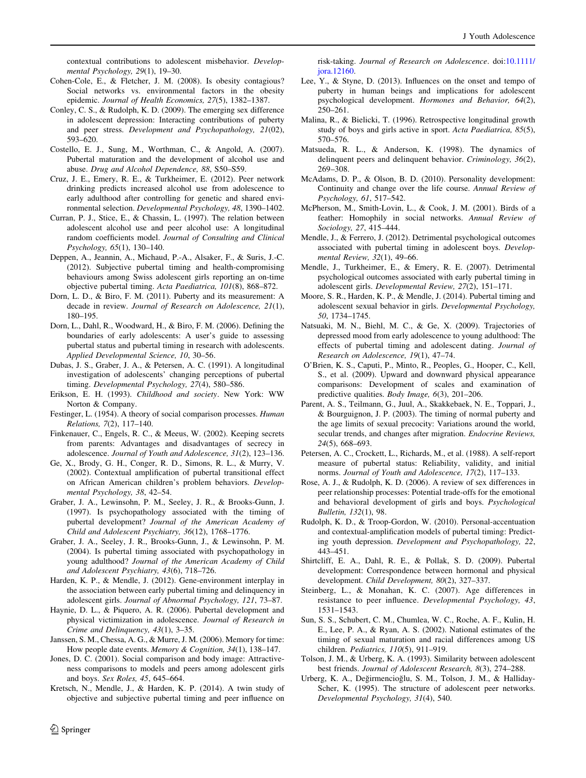<span id="page-13-0"></span>contextual contributions to adolescent misbehavior. Developmental Psychology, 29(1), 19–30.

- Cohen-Cole, E., & Fletcher, J. M. (2008). Is obesity contagious? Social networks vs. environmental factors in the obesity epidemic. Journal of Health Economics, 27(5), 1382–1387.
- Conley, C. S., & Rudolph, K. D. (2009). The emerging sex difference in adolescent depression: Interacting contributions of puberty and peer stress. Development and Psychopathology, 21(02), 593–620.
- Costello, E. J., Sung, M., Worthman, C., & Angold, A. (2007). Pubertal maturation and the development of alcohol use and abuse. Drug and Alcohol Dependence, 88, S50–S59.
- Cruz, J. E., Emery, R. E., & Turkheimer, E. (2012). Peer network drinking predicts increased alcohol use from adolescence to early adulthood after controlling for genetic and shared environmental selection. Developmental Psychology, 48, 1390–1402.
- Curran, P. J., Stice, E., & Chassin, L. (1997). The relation between adolescent alcohol use and peer alcohol use: A longitudinal random coefficients model. Journal of Consulting and Clinical Psychology, 65(1), 130–140.
- Deppen, A., Jeannin, A., Michaud, P.-A., Alsaker, F., & Suris, J.-C. (2012). Subjective pubertal timing and health-compromising behaviours among Swiss adolescent girls reporting an on-time objective pubertal timing. Acta Paediatrica, 101(8), 868–872.
- Dorn, L. D., & Biro, F. M. (2011). Puberty and its measurement: A decade in review. Journal of Research on Adolescence, 21(1), 180–195.
- Dorn, L., Dahl, R., Woodward, H., & Biro, F. M. (2006). Defining the boundaries of early adolescents: A user's guide to assessing pubertal status and pubertal timing in research with adolescents. Applied Developmental Science, 10, 30–56.
- Dubas, J. S., Graber, J. A., & Petersen, A. C. (1991). A longitudinal investigation of adolescents' changing perceptions of pubertal timing. Developmental Psychology, 27(4), 580–586.
- Erikson, E. H. (1993). Childhood and society. New York: WW Norton & Company.
- Festinger, L. (1954). A theory of social comparison processes. Human Relations, 7(2), 117–140.
- Finkenauer, C., Engels, R. C., & Meeus, W. (2002). Keeping secrets from parents: Advantages and disadvantages of secrecy in adolescence. Journal of Youth and Adolescence, 31(2), 123–136.
- Ge, X., Brody, G. H., Conger, R. D., Simons, R. L., & Murry, V. (2002). Contextual amplification of pubertal transitional effect on African American children's problem behaviors. Developmental Psychology, 38, 42–54.
- Graber, J. A., Lewinsohn, P. M., Seeley, J. R., & Brooks-Gunn, J. (1997). Is psychopathology associated with the timing of pubertal development? Journal of the American Academy of Child and Adolescent Psychiatry, 36(12), 1768–1776.
- Graber, J. A., Seeley, J. R., Brooks-Gunn, J., & Lewinsohn, P. M. (2004). Is pubertal timing associated with psychopathology in young adulthood? Journal of the American Academy of Child and Adolescent Psychiatry, 43(6), 718–726.
- Harden, K. P., & Mendle, J. (2012). Gene-environment interplay in the association between early pubertal timing and delinquency in adolescent girls. Journal of Abnormal Psychology, 121, 73–87.
- Haynie, D. L., & Piquero, A. R. (2006). Pubertal development and physical victimization in adolescence. Journal of Research in Crime and Delinquency, 43(1), 3–35.
- Janssen, S. M., Chessa, A. G., & Murre, J. M. (2006). Memory for time: How people date events. Memory & Cognition, 34(1), 138–147.
- Jones, D. C. (2001). Social comparison and body image: Attractiveness comparisons to models and peers among adolescent girls and boys. Sex Roles, 45, 645–664.
- Kretsch, N., Mendle, J., & Harden, K. P. (2014). A twin study of objective and subjective pubertal timing and peer influence on

 $\textcircled{2}$  Springer

risk-taking. Journal of Research on Adolescence. doi[:10.1111/](http://dx.doi.org/10.1111/jora.12160) [jora.12160.](http://dx.doi.org/10.1111/jora.12160)

- Lee, Y., & Styne, D. (2013). Influences on the onset and tempo of puberty in human beings and implications for adolescent psychological development. Hormones and Behavior, 64(2), 250–261.
- Malina, R., & Bielicki, T. (1996). Retrospective longitudinal growth study of boys and girls active in sport. Acta Paediatrica, 85(5), 570–576.
- Matsueda, R. L., & Anderson, K. (1998). The dynamics of delinquent peers and delinquent behavior. Criminology, 36(2), 269–308.
- McAdams, D. P., & Olson, B. D. (2010). Personality development: Continuity and change over the life course. Annual Review of Psychology, 61, 517–542.
- McPherson, M., Smith-Lovin, L., & Cook, J. M. (2001). Birds of a feather: Homophily in social networks. Annual Review of Sociology, 27, 415–444.
- Mendle, J., & Ferrero, J. (2012). Detrimental psychological outcomes associated with pubertal timing in adolescent boys. Developmental Review, 32(1), 49–66.
- Mendle, J., Turkheimer, E., & Emery, R. E. (2007). Detrimental psychological outcomes associated with early pubertal timing in adolescent girls. Developmental Review, 27(2), 151–171.
- Moore, S. R., Harden, K. P., & Mendle, J. (2014). Pubertal timing and adolescent sexual behavior in girls. Developmental Psychology, 50, 1734–1745.
- Natsuaki, M. N., Biehl, M. C., & Ge, X. (2009). Trajectories of depressed mood from early adolescence to young adulthood: The effects of pubertal timing and adolescent dating. Journal of Research on Adolescence, 19(1), 47–74.
- O'Brien, K. S., Caputi, P., Minto, R., Peoples, G., Hooper, C., Kell, S., et al. (2009). Upward and downward physical appearance comparisons: Development of scales and examination of predictive qualities. Body Image, 6(3), 201–206.
- Parent, A. S., Teilmann, G., Juul, A., Skakkebaek, N. E., Toppari, J., & Bourguignon, J. P. (2003). The timing of normal puberty and the age limits of sexual precocity: Variations around the world, secular trends, and changes after migration. Endocrine Reviews, 24(5), 668–693.
- Petersen, A. C., Crockett, L., Richards, M., et al. (1988). A self-report measure of pubertal status: Reliability, validity, and initial norms. Journal of Youth and Adolescence, 17(2), 117–133.
- Rose, A. J., & Rudolph, K. D. (2006). A review of sex differences in peer relationship processes: Potential trade-offs for the emotional and behavioral development of girls and boys. Psychological Bulletin, 132(1), 98.
- Rudolph, K. D., & Troop-Gordon, W. (2010). Personal-accentuation and contextual-amplification models of pubertal timing: Predicting youth depression. Development and Psychopathology, 22, 443–451.
- Shirtcliff, E. A., Dahl, R. E., & Pollak, S. D. (2009). Pubertal development: Correspondence between hormonal and physical development. Child Development, 80(2), 327–337.
- Steinberg, L., & Monahan, K. C. (2007). Age differences in resistance to peer influence. Developmental Psychology, 43, 1531–1543.
- Sun, S. S., Schubert, C. M., Chumlea, W. C., Roche, A. F., Kulin, H. E., Lee, P. A., & Ryan, A. S. (2002). National estimates of the timing of sexual maturation and racial differences among US children. Pediatrics, 110(5), 911–919.
- Tolson, J. M., & Urberg, K. A. (1993). Similarity between adolescent best friends. Journal of Adolescent Research, 8(3), 274–288.
- Urberg, K. A., Değirmencioğlu, S. M., Tolson, J. M., & Halliday-Scher, K. (1995). The structure of adolescent peer networks. Developmental Psychology, 31(4), 540.